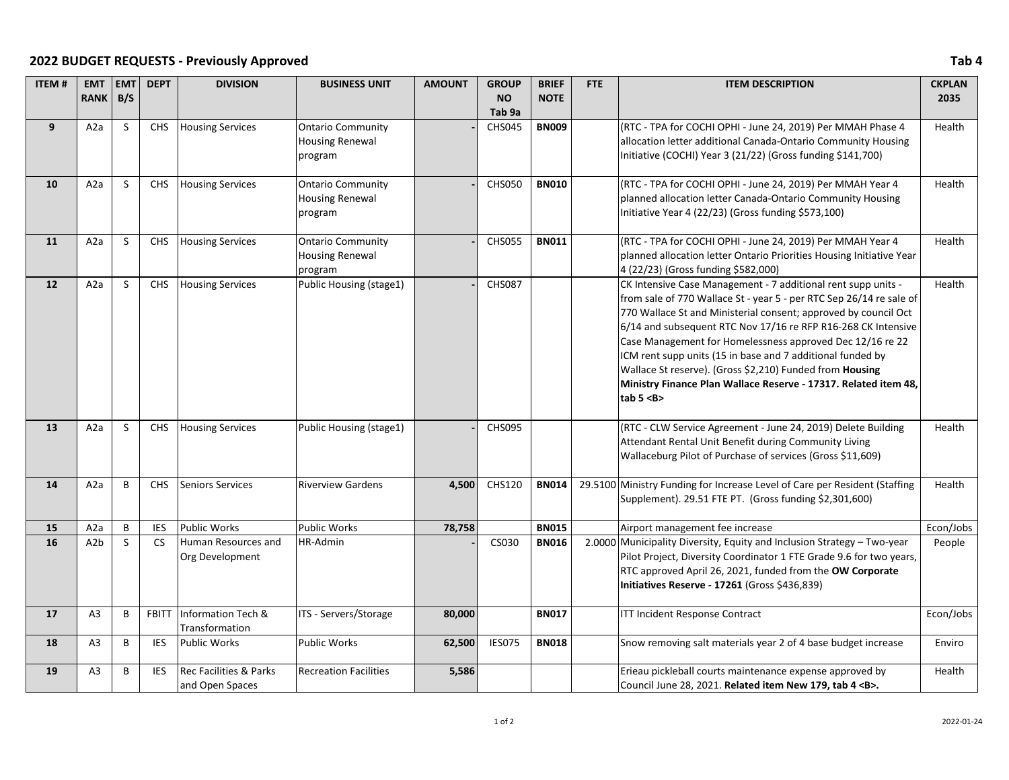## **2022 BUDGET REQUESTS - Previously Approved Tab 4**

| <b>ITEM#</b> | <b>EMT</b>       | <b>EMT</b>   | <b>DEPT</b>  | <b>DIVISION</b>                                      | <b>BUSINESS UNIT</b>                                          | <b>AMOUNT</b> | <b>GROUP</b>      | <b>BRIEF</b> | FTE | <b>ITEM DESCRIPTION</b>                                                                                                                                                                                                                                                                                                                                                                                                                                                                                                                             | <b>CKPLAN</b> |
|--------------|------------------|--------------|--------------|------------------------------------------------------|---------------------------------------------------------------|---------------|-------------------|--------------|-----|-----------------------------------------------------------------------------------------------------------------------------------------------------------------------------------------------------------------------------------------------------------------------------------------------------------------------------------------------------------------------------------------------------------------------------------------------------------------------------------------------------------------------------------------------------|---------------|
|              | <b>RANK</b>      | B/S          |              |                                                      |                                                               |               | <b>NO</b>         | <b>NOTE</b>  |     |                                                                                                                                                                                                                                                                                                                                                                                                                                                                                                                                                     | 2035          |
|              |                  |              |              |                                                      |                                                               |               | Tab <sub>9a</sub> |              |     |                                                                                                                                                                                                                                                                                                                                                                                                                                                                                                                                                     |               |
| 9            | A <sub>2</sub> a | S            | <b>CHS</b>   | <b>Housing Services</b>                              | <b>Ontario Community</b><br><b>Housing Renewal</b><br>program |               | <b>CHS045</b>     | <b>BN009</b> |     | (RTC - TPA for COCHI OPHI - June 24, 2019) Per MMAH Phase 4<br>allocation letter additional Canada-Ontario Community Housing<br>Initiative (COCHI) Year 3 (21/22) (Gross funding \$141,700)                                                                                                                                                                                                                                                                                                                                                         | Health        |
| 10           | A2a              | <sub>S</sub> | <b>CHS</b>   | <b>Housing Services</b>                              | <b>Ontario Community</b><br><b>Housing Renewal</b><br>program |               | <b>CHS050</b>     | <b>BN010</b> |     | (RTC - TPA for COCHI OPHI - June 24, 2019) Per MMAH Year 4<br>planned allocation letter Canada-Ontario Community Housing<br>Initiative Year 4 (22/23) (Gross funding \$573,100)                                                                                                                                                                                                                                                                                                                                                                     | Health        |
| 11           | A <sub>2</sub> a | S            | <b>CHS</b>   | <b>Housing Services</b>                              | <b>Ontario Community</b><br><b>Housing Renewal</b><br>program |               | <b>CHS055</b>     | <b>BN011</b> |     | (RTC - TPA for COCHI OPHI - June 24, 2019) Per MMAH Year 4<br>planned allocation letter Ontario Priorities Housing Initiative Year<br>4 (22/23) (Gross funding \$582,000)                                                                                                                                                                                                                                                                                                                                                                           | Health        |
| 12           | A2a              | <sub>S</sub> | <b>CHS</b>   | <b>Housing Services</b>                              | Public Housing (stage1)                                       |               | <b>CHS087</b>     |              |     | CK Intensive Case Management - 7 additional rent supp units -<br>from sale of 770 Wallace St - year 5 - per RTC Sep 26/14 re sale of<br>770 Wallace St and Ministerial consent; approved by council Oct<br>6/14 and subsequent RTC Nov 17/16 re RFP R16-268 CK Intensive<br>Case Management for Homelessness approved Dec 12/16 re 22<br>ICM rent supp units (15 in base and 7 additional funded by<br>Wallace St reserve). (Gross \$2,210) Funded from Housing<br>Ministry Finance Plan Wallace Reserve - 17317. Related item 48,<br>tab 5 <b></b> | Health        |
| 13           | A2a              | <sub>S</sub> | <b>CHS</b>   | <b>Housing Services</b>                              | Public Housing (stage1)                                       |               | <b>CHS095</b>     |              |     | (RTC - CLW Service Agreement - June 24, 2019) Delete Building<br>Attendant Rental Unit Benefit during Community Living<br>Wallaceburg Pilot of Purchase of services (Gross \$11,609)                                                                                                                                                                                                                                                                                                                                                                | Health        |
| 14           | A2a              | B            | <b>CHS</b>   | <b>Seniors Services</b>                              | <b>Riverview Gardens</b>                                      | 4,500         | CHS120            | <b>BN014</b> |     | 29.5100 Ministry Funding for Increase Level of Care per Resident (Staffing<br>Supplement). 29.51 FTE PT. (Gross funding \$2,301,600)                                                                                                                                                                                                                                                                                                                                                                                                                | Health        |
| 15           | A2a              | B            | <b>IES</b>   | <b>Public Works</b>                                  | <b>Public Works</b>                                           | 78,758        |                   | <b>BN015</b> |     | Airport management fee increase                                                                                                                                                                                                                                                                                                                                                                                                                                                                                                                     | Econ/Jobs     |
| 16           | A <sub>2</sub> b | S.           | <b>CS</b>    | Human Resources and<br>Org Development               | HR-Admin                                                      |               | CS030             | <b>BN016</b> |     | 2.0000 Municipality Diversity, Equity and Inclusion Strategy - Two-year<br>Pilot Project, Diversity Coordinator 1 FTE Grade 9.6 for two years,<br>RTC approved April 26, 2021, funded from the OW Corporate<br>Initiatives Reserve - 17261 (Gross \$436,839)                                                                                                                                                                                                                                                                                        | People        |
| 17           | A <sub>3</sub>   | В            | <b>FBITT</b> | Information Tech &<br>Transformation                 | ITS - Servers/Storage                                         | 80,000        |                   | <b>BN017</b> |     | <b>ITT Incident Response Contract</b>                                                                                                                                                                                                                                                                                                                                                                                                                                                                                                               | Econ/Jobs     |
| 18           | A <sub>3</sub>   | B            | <b>IES</b>   | <b>Public Works</b>                                  | <b>Public Works</b>                                           | 62,500        | <b>IES075</b>     | <b>BN018</b> |     | Snow removing salt materials year 2 of 4 base budget increase                                                                                                                                                                                                                                                                                                                                                                                                                                                                                       | Enviro        |
| 19           | A <sub>3</sub>   | B            | <b>IES</b>   | <b>Rec Facilities &amp; Parks</b><br>and Open Spaces | <b>Recreation Facilities</b>                                  | 5,586         |                   |              |     | Erieau pickleball courts maintenance expense approved by<br>Council June 28, 2021. Related item New 179, tab 4 <b>.</b>                                                                                                                                                                                                                                                                                                                                                                                                                             | Health        |